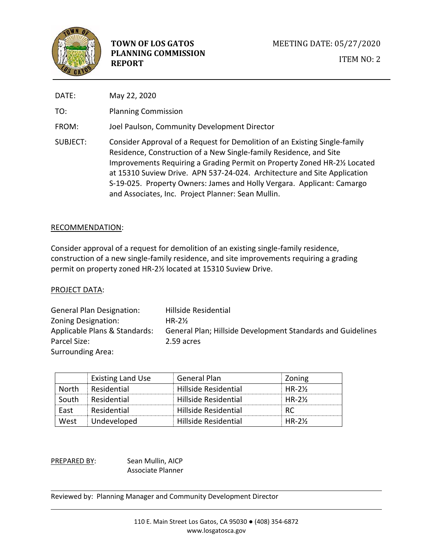

| DATE:    | May 22, 2020                                                                                                                                                                                                                                                                                                                                                                                                                              |
|----------|-------------------------------------------------------------------------------------------------------------------------------------------------------------------------------------------------------------------------------------------------------------------------------------------------------------------------------------------------------------------------------------------------------------------------------------------|
| TO:      | <b>Planning Commission</b>                                                                                                                                                                                                                                                                                                                                                                                                                |
| FROM:    | Joel Paulson, Community Development Director                                                                                                                                                                                                                                                                                                                                                                                              |
| SUBJECT: | Consider Approval of a Request for Demolition of an Existing Single-family<br>Residence, Construction of a New Single-family Residence, and Site<br>Improvements Requiring a Grading Permit on Property Zoned HR-21/2 Located<br>at 15310 Suview Drive. APN 537-24-024. Architecture and Site Application<br>S-19-025. Property Owners: James and Holly Vergara. Applicant: Camargo<br>and Associates, Inc. Project Planner: Sean Mullin. |

## RECOMMENDATION:

Consider approval of a request for demolition of an existing single-family residence, construction of a new single-family residence, and site improvements requiring a grading permit on property zoned HR-2½ located at 15310 Suview Drive.

## PROJECT DATA:

General Plan Designation: Hillside Residential Zoning Designation: HR-2½ Applicable Plans & Standards: General Plan; Hillside Development Standards and Guidelines Parcel Size: 2.59 acres Surrounding Area:

|       | <b>Existing Land Use</b> | General Plan         | Zoning   |
|-------|--------------------------|----------------------|----------|
| North | Residential              | Hillside Residential | $HR-2\%$ |
| South | Residential              | Hillside Residential | $HR-2\%$ |
| Fast  | Residential              | Hillside Residential | RC.      |
| West  | Undeveloped              | Hillside Residential | $HR-2\%$ |

PREPARED BY: Sean Mullin, AICP Associate Planner

Reviewed by: Planning Manager and Community Development Director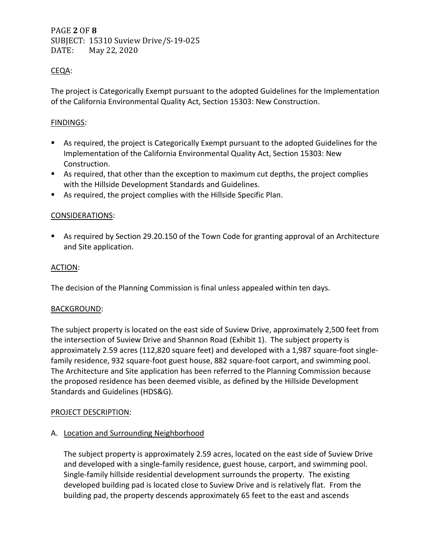PAGE **2** OF **8** SUBJECT: 15310 Suview Drive/S-19-025 DATE: May 22, 2020

# CEQA:

The project is Categorically Exempt pursuant to the adopted Guidelines for the Implementation of the California Environmental Quality Act, Section 15303: New Construction.

# FINDINGS:

- As required, the project is Categorically Exempt pursuant to the adopted Guidelines for the Implementation of the California Environmental Quality Act, Section 15303: New Construction.
- As required, that other than the exception to maximum cut depths, the project complies with the Hillside Development Standards and Guidelines.
- As required, the project complies with the Hillside Specific Plan.

# CONSIDERATIONS:

■ As required by Section 29.20.150 of the Town Code for granting approval of an Architecture and Site application.

## ACTION:

The decision of the Planning Commission is final unless appealed within ten days.

# BACKGROUND:

The subject property is located on the east side of Suview Drive, approximately 2,500 feet from the intersection of Suview Drive and Shannon Road (Exhibit 1). The subject property is approximately 2.59 acres (112,820 square feet) and developed with a 1,987 square-foot singlefamily residence, 932 square-foot guest house, 882 square-foot carport, and swimming pool. The Architecture and Site application has been referred to the Planning Commission because the proposed residence has been deemed visible, as defined by the Hillside Development Standards and Guidelines (HDS&G).

## PROJECT DESCRIPTION:

# A. Location and Surrounding Neighborhood

The subject property is approximately 2.59 acres, located on the east side of Suview Drive and developed with a single-family residence, guest house, carport, and swimming pool. Single-family hillside residential development surrounds the property. The existing developed building pad is located close to Suview Drive and is relatively flat. From the building pad, the property descends approximately 65 feet to the east and ascends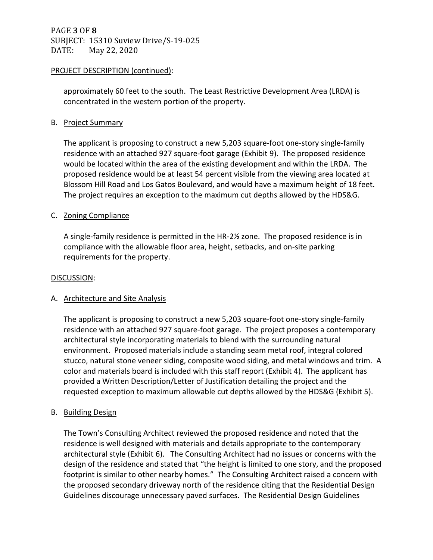PAGE **3** OF **8** SUBJECT: 15310 Suview Drive/S-19-025 DATE: May 22, 2020

## PROJECT DESCRIPTION (continued):

approximately 60 feet to the south. The Least Restrictive Development Area (LRDA) is concentrated in the western portion of the property.

# B. Project Summary

The applicant is proposing to construct a new 5,203 square-foot one-story single-family residence with an attached 927 square-foot garage (Exhibit 9). The proposed residence would be located within the area of the existing development and within the LRDA. The proposed residence would be at least 54 percent visible from the viewing area located at Blossom Hill Road and Los Gatos Boulevard, and would have a maximum height of 18 feet. The project requires an exception to the maximum cut depths allowed by the HDS&G.

# C. Zoning Compliance

A single-family residence is permitted in the HR-2½ zone. The proposed residence is in compliance with the allowable floor area, height, setbacks, and on-site parking requirements for the property.

## DISCUSSION:

# A. Architecture and Site Analysis

The applicant is proposing to construct a new 5,203 square-foot one-story single-family residence with an attached 927 square-foot garage. The project proposes a contemporary architectural style incorporating materials to blend with the surrounding natural environment. Proposed materials include a standing seam metal roof, integral colored stucco, natural stone veneer siding, composite wood siding, and metal windows and trim. A color and materials board is included with this staff report (Exhibit 4). The applicant has provided a Written Description/Letter of Justification detailing the project and the requested exception to maximum allowable cut depths allowed by the HDS&G (Exhibit 5).

## B. Building Design

The Town's Consulting Architect reviewed the proposed residence and noted that the residence is well designed with materials and details appropriate to the contemporary architectural style (Exhibit 6). The Consulting Architect had no issues or concerns with the design of the residence and stated that "the height is limited to one story, and the proposed footprint is similar to other nearby homes." The Consulting Architect raised a concern with the proposed secondary driveway north of the residence citing that the Residential Design Guidelines discourage unnecessary paved surfaces. The Residential Design Guidelines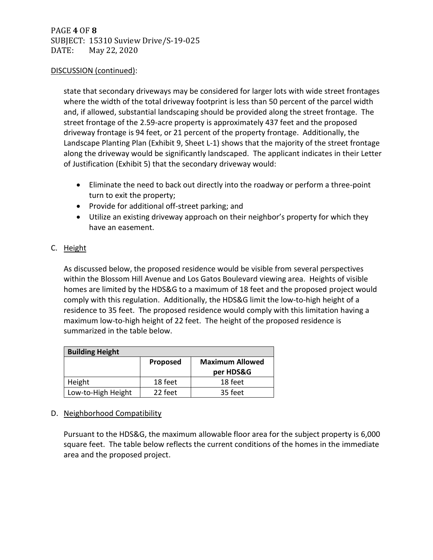# PAGE **4** OF **8** SUBJECT: 15310 Suview Drive/S-19-025 DATE: May 22, 2020

## DISCUSSION (continued):

state that secondary driveways may be considered for larger lots with wide street frontages where the width of the total driveway footprint is less than 50 percent of the parcel width and, if allowed, substantial landscaping should be provided along the street frontage. The street frontage of the 2.59-acre property is approximately 437 feet and the proposed driveway frontage is 94 feet, or 21 percent of the property frontage. Additionally, the Landscape Planting Plan (Exhibit 9, Sheet L-1) shows that the majority of the street frontage along the driveway would be significantly landscaped. The applicant indicates in their Letter of Justification (Exhibit 5) that the secondary driveway would:

- Eliminate the need to back out directly into the roadway or perform a three-point turn to exit the property;
- Provide for additional off-street parking; and
- Utilize an existing driveway approach on their neighbor's property for which they have an easement.

# C. Height

As discussed below, the proposed residence would be visible from several perspectives within the Blossom Hill Avenue and Los Gatos Boulevard viewing area. Heights of visible homes are limited by the HDS&G to a maximum of 18 feet and the proposed project would comply with this regulation. Additionally, the HDS&G limit the low-to-high height of a residence to 35 feet. The proposed residence would comply with this limitation having a maximum low-to-high height of 22 feet. The height of the proposed residence is summarized in the table below.

| <b>Building Height</b> |          |                        |  |  |
|------------------------|----------|------------------------|--|--|
|                        | Proposed | <b>Maximum Allowed</b> |  |  |
|                        |          | per HDS&G              |  |  |
| Height                 | 18 feet  | 18 feet                |  |  |
| Low-to-High Height     | 22 feet  | 35 feet                |  |  |

# D. Neighborhood Compatibility

Pursuant to the HDS&G, the maximum allowable floor area for the subject property is 6,000 square feet. The table below reflects the current conditions of the homes in the immediate area and the proposed project.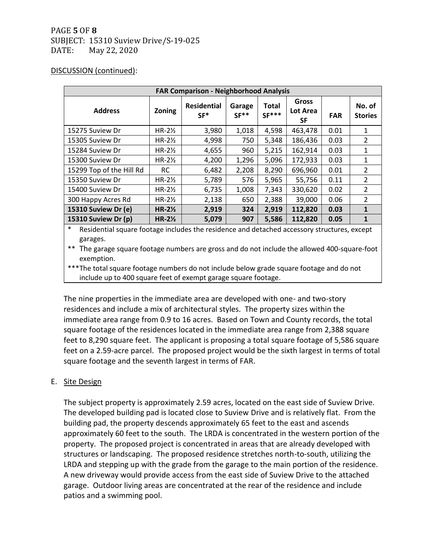# PAGE **5** OF **8** SUBJECT: 15310 Suview Drive/S-19-025 DATE: May 22, 2020

#### DISCUSSION (continued):

| <b>FAR Comparison - Neighborhood Analysis</b> |                   |                             |                  |                         |                         |            |                          |
|-----------------------------------------------|-------------------|-----------------------------|------------------|-------------------------|-------------------------|------------|--------------------------|
| <b>Address</b>                                | Zoning            | <b>Residential</b><br>$SF*$ | Garage<br>$SF**$ | <b>Total</b><br>$SF***$ | Gross<br>Lot Area<br>SF | <b>FAR</b> | No. of<br><b>Stories</b> |
| 15275 Suview Dr                               | $HR-2\frac{1}{2}$ | 3,980                       | 1,018            | 4,598                   | 463,478                 | 0.01       | $\mathbf{1}$             |
| 15305 Suview Dr                               | $HR-2\frac{1}{2}$ | 4,998                       | 750              | 5,348                   | 186,436                 | 0.03       | $\overline{2}$           |
| 15284 Suview Dr                               | $HR-2\frac{1}{2}$ | 4,655                       | 960              | 5,215                   | 162,914                 | 0.03       | 1                        |
| 15300 Suview Dr                               | $HR-2\frac{1}{2}$ | 4,200                       | 1,296            | 5,096                   | 172,933                 | 0.03       | $\mathbf{1}$             |
| 15299 Top of the Hill Rd                      | <b>RC</b>         | 6,482                       | 2,208            | 8,290                   | 696,960                 | 0.01       | $\overline{2}$           |
| 15350 Suview Dr                               | $HR-2\frac{1}{2}$ | 5,789                       | 576              | 5,965                   | 55,756                  | 0.11       | $\overline{2}$           |
| 15400 Suview Dr                               | $HR-2\frac{1}{2}$ | 6,735                       | 1,008            | 7,343                   | 330,620                 | 0.02       | 2                        |
| 300 Happy Acres Rd                            | $HR-2\frac{1}{2}$ | 2,138                       | 650              | 2,388                   | 39,000                  | 0.06       | $\overline{2}$           |
| 15310 Suview Dr (e)                           | $HR-2\frac{1}{2}$ | 2,919                       | 324              | 2,919                   | 112,820                 | 0.03       | $\mathbf{1}$             |
| 15310 Suview Dr (p)                           | $HR-2\frac{1}{2}$ | 5,079                       | 907              | 5,586                   | 112,820                 | 0.05       |                          |

Residential square footage includes the residence and detached accessory structures, except garages.

\*\* The garage square footage numbers are gross and do not include the allowed 400-square-foot exemption.

\*\*\*The total square footage numbers do not include below grade square footage and do not include up to 400 square feet of exempt garage square footage.

The nine properties in the immediate area are developed with one- and two-story residences and include a mix of architectural styles. The property sizes within the immediate area range from 0.9 to 16 acres. Based on Town and County records, the total square footage of the residences located in the immediate area range from 2,388 square feet to 8,290 square feet. The applicant is proposing a total square footage of 5,586 square feet on a 2.59-acre parcel. The proposed project would be the sixth largest in terms of total square footage and the seventh largest in terms of FAR.

## E. Site Design

The subject property is approximately 2.59 acres, located on the east side of Suview Drive. The developed building pad is located close to Suview Drive and is relatively flat. From the building pad, the property descends approximately 65 feet to the east and ascends approximately 60 feet to the south. The LRDA is concentrated in the western portion of the property. The proposed project is concentrated in areas that are already developed with structures or landscaping. The proposed residence stretches north-to-south, utilizing the LRDA and stepping up with the grade from the garage to the main portion of the residence. A new driveway would provide access from the east side of Suview Drive to the attached garage. Outdoor living areas are concentrated at the rear of the residence and include patios and a swimming pool.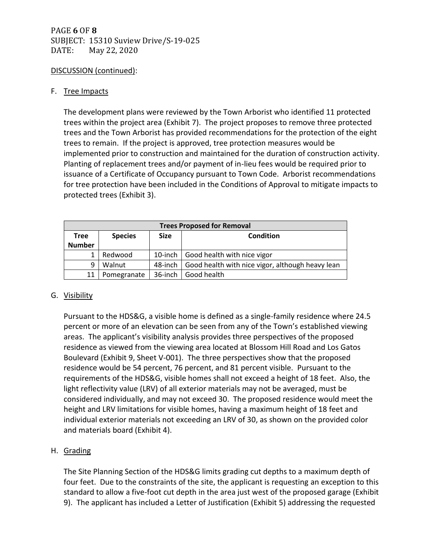# PAGE **6** OF **8** SUBJECT: 15310 Suview Drive/S-19-025 DATE: May 22, 2020

# DISCUSSION (continued):

## F. Tree Impacts

The development plans were reviewed by the Town Arborist who identified 11 protected trees within the project area (Exhibit 7). The project proposes to remove three protected trees and the Town Arborist has provided recommendations for the protection of the eight trees to remain. If the project is approved, tree protection measures would be implemented prior to construction and maintained for the duration of construction activity. Planting of replacement trees and/or payment of in-lieu fees would be required prior to issuance of a Certificate of Occupancy pursuant to Town Code. Arborist recommendations for tree protection have been included in the Conditions of Approval to mitigate impacts to protected trees (Exhibit 3).

| <b>Trees Proposed for Removal</b> |                                            |            |                                                  |
|-----------------------------------|--------------------------------------------|------------|--------------------------------------------------|
| <b>Tree</b>                       | Condition<br><b>Species</b><br><b>Size</b> |            |                                                  |
| <b>Number</b>                     |                                            |            |                                                  |
|                                   | Redwood                                    |            | 10-inch   Good health with nice vigor            |
| 9                                 | Walnut                                     | 48-inch    | Good health with nice vigor, although heavy lean |
|                                   | Pomegranate                                | $36$ -inch | Good health                                      |

# G. Visibility

Pursuant to the HDS&G, a visible home is defined as a single-family residence where 24.5 percent or more of an elevation can be seen from any of the Town's established viewing areas. The applicant's visibility analysis provides three perspectives of the proposed residence as viewed from the viewing area located at Blossom Hill Road and Los Gatos Boulevard (Exhibit 9, Sheet V-001). The three perspectives show that the proposed residence would be 54 percent, 76 percent, and 81 percent visible. Pursuant to the requirements of the HDS&G, visible homes shall not exceed a height of 18 feet. Also, the light reflectivity value (LRV) of all exterior materials may not be averaged, must be considered individually, and may not exceed 30. The proposed residence would meet the height and LRV limitations for visible homes, having a maximum height of 18 feet and individual exterior materials not exceeding an LRV of 30, as shown on the provided color and materials board (Exhibit 4).

# H. Grading

The Site Planning Section of the HDS&G limits grading cut depths to a maximum depth of four feet. Due to the constraints of the site, the applicant is requesting an exception to this standard to allow a five-foot cut depth in the area just west of the proposed garage (Exhibit 9). The applicant has included a Letter of Justification (Exhibit 5) addressing the requested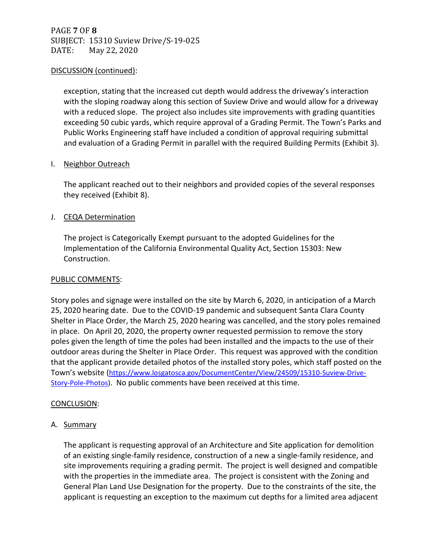PAGE **7** OF **8** SUBJECT: 15310 Suview Drive/S-19-025 DATE: May 22, 2020

## DISCUSSION (continued):

exception, stating that the increased cut depth would address the driveway's interaction with the sloping roadway along this section of Suview Drive and would allow for a driveway with a reduced slope. The project also includes site improvements with grading quantities exceeding 50 cubic yards, which require approval of a Grading Permit. The Town's Parks and Public Works Engineering staff have included a condition of approval requiring submittal and evaluation of a Grading Permit in parallel with the required Building Permits (Exhibit 3).

## I. Neighbor Outreach

The applicant reached out to their neighbors and provided copies of the several responses they received (Exhibit 8).

## J. CEQA Determination

The project is Categorically Exempt pursuant to the adopted Guidelines for the Implementation of the California Environmental Quality Act, Section 15303: New Construction.

## PUBLIC COMMENTS:

Story poles and signage were installed on the site by March 6, 2020, in anticipation of a March 25, 2020 hearing date. Due to the COVID-19 pandemic and subsequent Santa Clara County Shelter in Place Order, the March 25, 2020 hearing was cancelled, and the story poles remained in place. On April 20, 2020, the property owner requested permission to remove the story poles given the length of time the poles had been installed and the impacts to the use of their outdoor areas during the Shelter in Place Order. This request was approved with the condition that the applicant provide detailed photos of the installed story poles, which staff posted on the Town's website ([https://www.losgatosca.gov/DocumentCenter/View/24509/15310-Suview-Drive-](https://www.losgatosca.gov/DocumentCenter/View/24509/15310-Suview-Drive-Story-Pole-Photos)[Story-Pole-Photos\)](https://www.losgatosca.gov/DocumentCenter/View/24509/15310-Suview-Drive-Story-Pole-Photos). No public comments have been received at this time.

## CONCLUSION:

## A. Summary

The applicant is requesting approval of an Architecture and Site application for demolition of an existing single-family residence, construction of a new a single-family residence, and site improvements requiring a grading permit. The project is well designed and compatible with the properties in the immediate area. The project is consistent with the Zoning and General Plan Land Use Designation for the property. Due to the constraints of the site, the applicant is requesting an exception to the maximum cut depths for a limited area adjacent